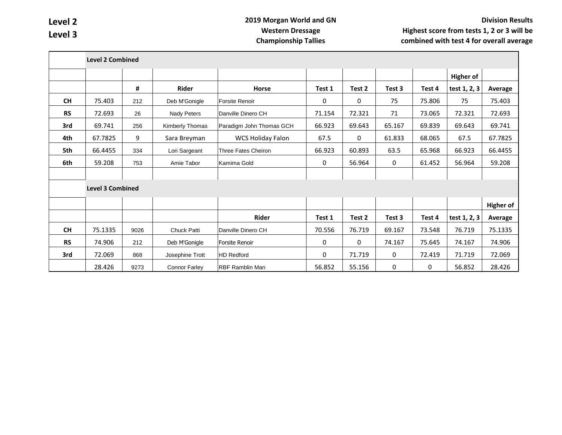## **2019 Morgan World and GN Western Dressage Championship Tallies**

|           | <b>Level 2 Combined</b> |      |                      |                          |              |        |        |        |                  |                  |
|-----------|-------------------------|------|----------------------|--------------------------|--------------|--------|--------|--------|------------------|------------------|
|           |                         |      |                      |                          |              |        |        |        | <b>Higher of</b> |                  |
|           |                         | #    | Rider                | <b>Horse</b>             | Test 1       | Test 2 | Test 3 | Test 4 | test 1, 2, 3     | Average          |
| <b>CH</b> | 75.403                  | 212  | Deb M'Gonigle        | Forsite Renoir           | $\mathbf{0}$ | 0      | 75     | 75.806 | 75               | 75.403           |
| <b>RS</b> | 72.693                  | 26   | Nady Peters          | Danville Dinero CH       | 71.154       | 72.321 | 71     | 73.065 | 72.321           | 72.693           |
| 3rd       | 69.741                  | 256  | Kimberly Thomas      | Paradigm John Thomas GCH | 66.923       | 69.643 | 65.167 | 69.839 | 69.643           | 69.741           |
| 4th       | 67.7825                 | 9    | Sara Breyman         | <b>WCS Holiday Falon</b> | 67.5         | 0      | 61.833 | 68.065 | 67.5             | 67.7825          |
| 5th       | 66.4455                 | 334  | Lori Sargeant        | Three Fates Cheiron      | 66.923       | 60.893 | 63.5   | 65.968 | 66.923           | 66.4455          |
| 6th       | 59.208                  | 753  | Amie Tabor           | Kamima Gold              | 0            | 56.964 | 0      | 61.452 | 56.964           | 59.208           |
|           |                         |      |                      |                          |              |        |        |        |                  |                  |
|           | <b>Level 3 Combined</b> |      |                      |                          |              |        |        |        |                  |                  |
|           |                         |      |                      |                          |              |        |        |        |                  | <b>Higher of</b> |
|           |                         |      |                      | Rider                    | Test 1       | Test 2 | Test 3 | Test 4 | test 1, 2, 3     | Average          |
| <b>CH</b> | 75.1335                 | 9026 | Chuck Patti          | Danville Dinero CH       | 70.556       | 76.719 | 69.167 | 73.548 | 76.719           | 75.1335          |
| <b>RS</b> | 74.906                  | 212  | Deb M'Gonigle        | Forsite Renoir           | 0            | 0      | 74.167 | 75.645 | 74.167           | 74.906           |
| 3rd       | 72.069                  | 868  | Josephine Trott      | <b>HD Redford</b>        | 0            | 71.719 | 0      | 72.419 | 71.719           | 72.069           |
|           | 28.426                  | 9273 | <b>Connor Farley</b> | <b>RBF Ramblin Man</b>   | 56.852       | 55.156 | 0      | 0      | 56.852           | 28.426           |